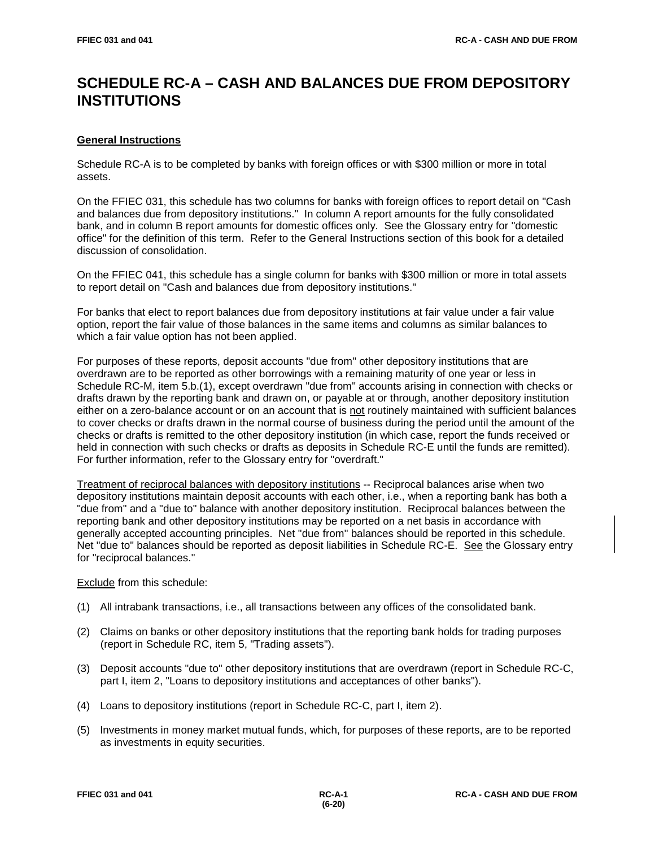# **SCHEDULE RC-A – CASH AND BALANCES DUE FROM DEPOSITORY INSTITUTIONS**

# **General Instructions**

Schedule RC-A is to be completed by banks with foreign offices or with \$300 million or more in total assets.

On the FFIEC 031, this schedule has two columns for banks with foreign offices to report detail on "Cash and balances due from depository institutions." In column A report amounts for the fully consolidated bank, and in column B report amounts for domestic offices only. See the Glossary entry for "domestic office" for the definition of this term. Refer to the General Instructions section of this book for a detailed discussion of consolidation.

On the FFIEC 041, this schedule has a single column for banks with \$300 million or more in total assets to report detail on "Cash and balances due from depository institutions."

For banks that elect to report balances due from depository institutions at fair value under a fair value option, report the fair value of those balances in the same items and columns as similar balances to which a fair value option has not been applied.

For purposes of these reports, deposit accounts "due from" other depository institutions that are overdrawn are to be reported as other borrowings with a remaining maturity of one year or less in Schedule RC-M, item 5.b.(1), except overdrawn "due from" accounts arising in connection with checks or drafts drawn by the reporting bank and drawn on, or payable at or through, another depository institution either on a zero-balance account or on an account that is not routinely maintained with sufficient balances to cover checks or drafts drawn in the normal course of business during the period until the amount of the checks or drafts is remitted to the other depository institution (in which case, report the funds received or held in connection with such checks or drafts as deposits in Schedule RC-E until the funds are remitted). For further information, refer to the Glossary entry for "overdraft."

Treatment of reciprocal balances with depository institutions -- Reciprocal balances arise when two depository institutions maintain deposit accounts with each other, i.e., when a reporting bank has both a "due from" and a "due to" balance with another depository institution. Reciprocal balances between the reporting bank and other depository institutions may be reported on a net basis in accordance with generally accepted accounting principles. Net "due from" balances should be reported in this schedule. Net "due to" balances should be reported as deposit liabilities in Schedule RC-E. See the Glossary entry for "reciprocal balances."

Exclude from this schedule:

- (1) All intrabank transactions, i.e., all transactions between any offices of the consolidated bank.
- (2) Claims on banks or other depository institutions that the reporting bank holds for trading purposes (report in Schedule RC, item 5, "Trading assets").
- (3) Deposit accounts "due to" other depository institutions that are overdrawn (report in Schedule RC-C, part I, item 2, "Loans to depository institutions and acceptances of other banks").
- (4) Loans to depository institutions (report in Schedule RC-C, part I, item 2).
- (5) Investments in money market mutual funds, which, for purposes of these reports, are to be reported as investments in equity securities.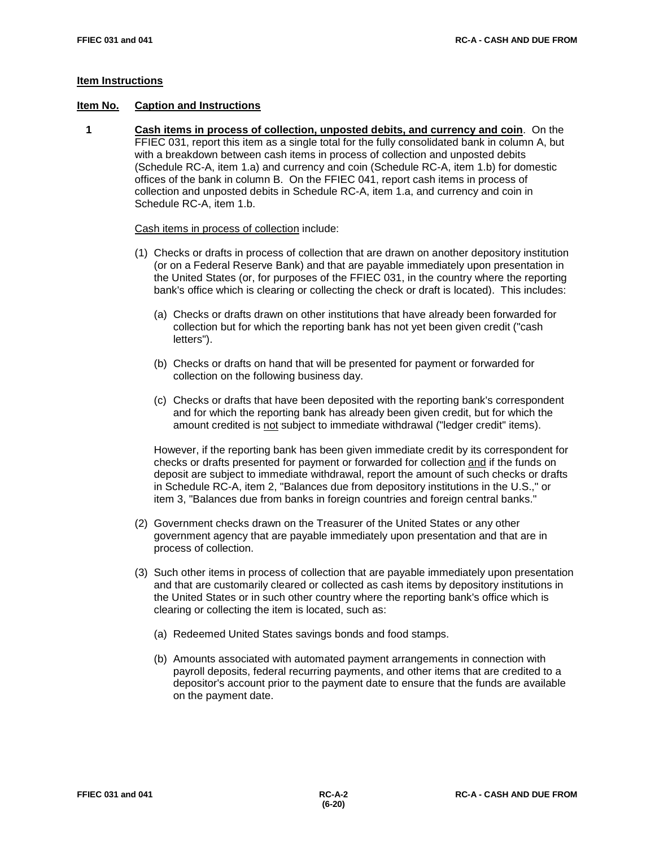# **Item Instructions**

# **Item No. Caption and Instructions**

 **1 Cash items in process of collection, unposted debits, and currency and coin**. On the FFIEC 031, report this item as a single total for the fully consolidated bank in column A, but with a breakdown between cash items in process of collection and unposted debits (Schedule RC-A, item 1.a) and currency and coin (Schedule RC-A, item 1.b) for domestic offices of the bank in column B. On the FFIEC 041, report cash items in process of collection and unposted debits in Schedule RC-A, item 1.a, and currency and coin in Schedule RC-A, item 1.b.

#### Cash items in process of collection include:

- (1) Checks or drafts in process of collection that are drawn on another depository institution (or on a Federal Reserve Bank) and that are payable immediately upon presentation in the United States (or, for purposes of the FFIEC 031, in the country where the reporting bank's office which is clearing or collecting the check or draft is located). This includes:
	- (a) Checks or drafts drawn on other institutions that have already been forwarded for collection but for which the reporting bank has not yet been given credit ("cash letters").
	- (b) Checks or drafts on hand that will be presented for payment or forwarded for collection on the following business day.
	- (c) Checks or drafts that have been deposited with the reporting bank's correspondent and for which the reporting bank has already been given credit, but for which the amount credited is not subject to immediate withdrawal ("ledger credit" items).

However, if the reporting bank has been given immediate credit by its correspondent for checks or drafts presented for payment or forwarded for collection and if the funds on deposit are subject to immediate withdrawal, report the amount of such checks or drafts in Schedule RC-A, item 2, "Balances due from depository institutions in the U.S.," or item 3, "Balances due from banks in foreign countries and foreign central banks."

- (2) Government checks drawn on the Treasurer of the United States or any other government agency that are payable immediately upon presentation and that are in process of collection.
- (3) Such other items in process of collection that are payable immediately upon presentation and that are customarily cleared or collected as cash items by depository institutions in the United States or in such other country where the reporting bank's office which is clearing or collecting the item is located, such as:
	- (a) Redeemed United States savings bonds and food stamps.
	- (b) Amounts associated with automated payment arrangements in connection with payroll deposits, federal recurring payments, and other items that are credited to a depositor's account prior to the payment date to ensure that the funds are available on the payment date.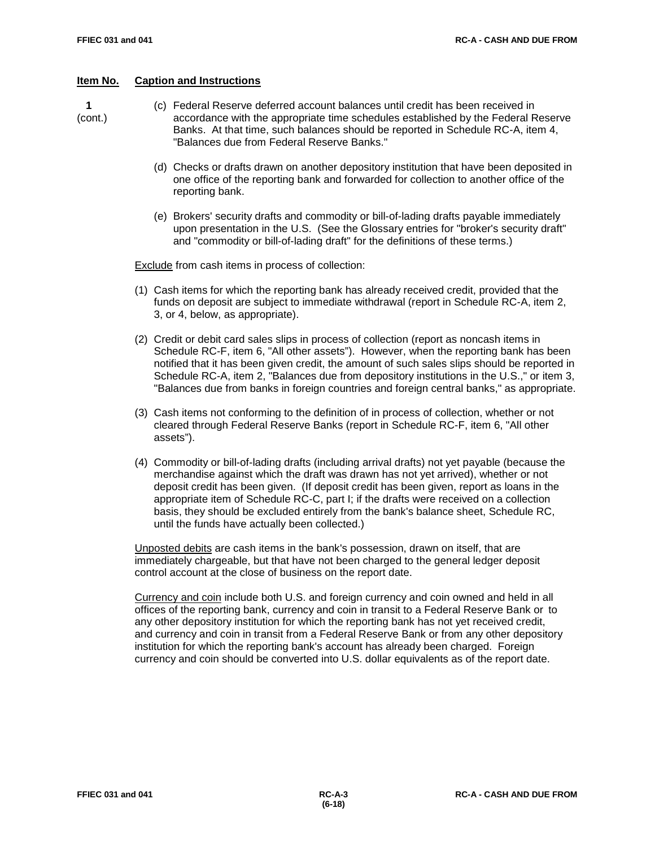- **1** (c) Federal Reserve deferred account balances until credit has been received in (cont.) accordance with the appropriate time schedules established by the Federal Reserve Banks. At that time, such balances should be reported in Schedule RC-A, item 4, "Balances due from Federal Reserve Banks."
	- (d) Checks or drafts drawn on another depository institution that have been deposited in one office of the reporting bank and forwarded for collection to another office of the reporting bank.
	- (e) Brokers' security drafts and commodity or bill-of-lading drafts payable immediately upon presentation in the U.S. (See the Glossary entries for "broker's security draft" and "commodity or bill-of-lading draft" for the definitions of these terms.)

Exclude from cash items in process of collection:

- (1) Cash items for which the reporting bank has already received credit, provided that the funds on deposit are subject to immediate withdrawal (report in Schedule RC-A, item 2, 3, or 4, below, as appropriate).
- (2) Credit or debit card sales slips in process of collection (report as noncash items in Schedule RC-F, item 6, "All other assets"). However, when the reporting bank has been notified that it has been given credit, the amount of such sales slips should be reported in Schedule RC-A, item 2, "Balances due from depository institutions in the U.S.," or item 3, "Balances due from banks in foreign countries and foreign central banks," as appropriate.
- (3) Cash items not conforming to the definition of in process of collection, whether or not cleared through Federal Reserve Banks (report in Schedule RC-F, item 6, "All other assets").
- (4) Commodity or bill-of-lading drafts (including arrival drafts) not yet payable (because the merchandise against which the draft was drawn has not yet arrived), whether or not deposit credit has been given. (If deposit credit has been given, report as loans in the appropriate item of Schedule RC-C, part I; if the drafts were received on a collection basis, they should be excluded entirely from the bank's balance sheet, Schedule RC, until the funds have actually been collected.)

Unposted debits are cash items in the bank's possession, drawn on itself, that are immediately chargeable, but that have not been charged to the general ledger deposit control account at the close of business on the report date.

Currency and coin include both U.S. and foreign currency and coin owned and held in all offices of the reporting bank, currency and coin in transit to a Federal Reserve Bank or to any other depository institution for which the reporting bank has not yet received credit, and currency and coin in transit from a Federal Reserve Bank or from any other depository institution for which the reporting bank's account has already been charged. Foreign currency and coin should be converted into U.S. dollar equivalents as of the report date.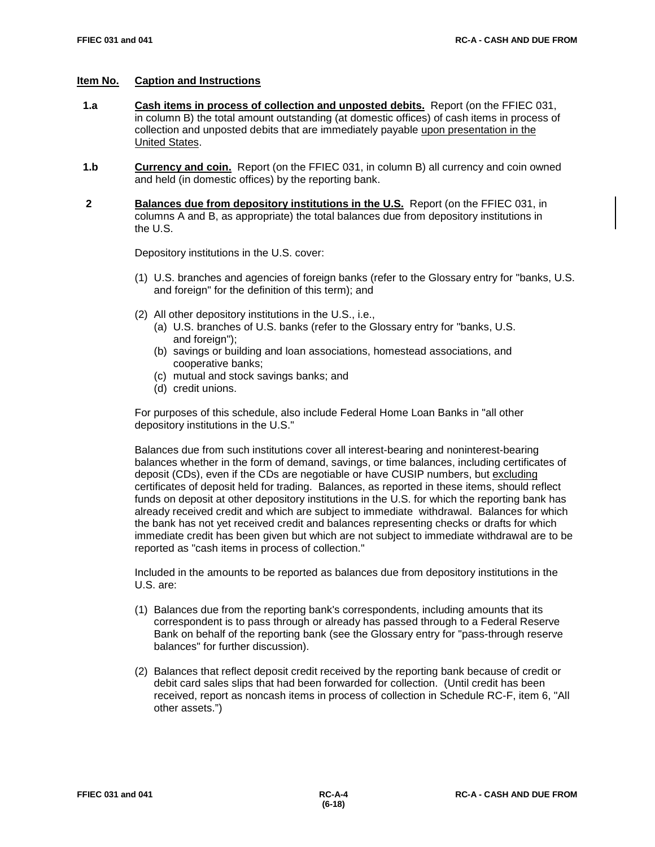- **1.a Cash items in process of collection and unposted debits.** Report (on the FFIEC 031, in column B) the total amount outstanding (at domestic offices) of cash items in process of collection and unposted debits that are immediately payable upon presentation in the United States.
- **1.b Currency and coin.** Report (on the FFIEC 031, in column B) all currency and coin owned and held (in domestic offices) by the reporting bank.
- **2 Balances due from depository institutions in the U.S.** Report (on the FFIEC 031, in columns A and B, as appropriate) the total balances due from depository institutions in the U.S.

Depository institutions in the U.S. cover:

- (1) U.S. branches and agencies of foreign banks (refer to the Glossary entry for "banks, U.S. and foreign" for the definition of this term); and
- (2) All other depository institutions in the U.S., i.e.,
	- (a) U.S. branches of U.S. banks (refer to the Glossary entry for "banks, U.S. and foreign"):
	- (b) savings or building and loan associations, homestead associations, and cooperative banks;
	- (c) mutual and stock savings banks; and
	- (d) credit unions.

For purposes of this schedule, also include Federal Home Loan Banks in "all other depository institutions in the U.S."

Balances due from such institutions cover all interest-bearing and noninterest-bearing balances whether in the form of demand, savings, or time balances, including certificates of deposit (CDs), even if the CDs are negotiable or have CUSIP numbers, but excluding certificates of deposit held for trading. Balances, as reported in these items, should reflect funds on deposit at other depository institutions in the U.S. for which the reporting bank has already received credit and which are subject to immediate withdrawal. Balances for which the bank has not yet received credit and balances representing checks or drafts for which immediate credit has been given but which are not subject to immediate withdrawal are to be reported as "cash items in process of collection."

Included in the amounts to be reported as balances due from depository institutions in the U.S. are:

- (1) Balances due from the reporting bank's correspondents, including amounts that its correspondent is to pass through or already has passed through to a Federal Reserve Bank on behalf of the reporting bank (see the Glossary entry for "pass-through reserve balances" for further discussion).
- (2) Balances that reflect deposit credit received by the reporting bank because of credit or debit card sales slips that had been forwarded for collection. (Until credit has been received, report as noncash items in process of collection in Schedule RC-F, item 6, "All other assets.")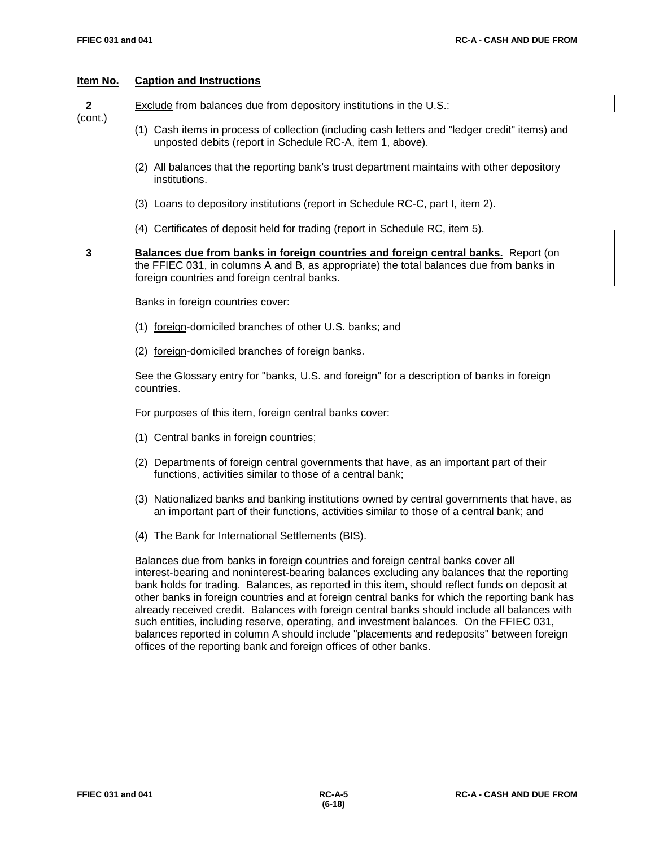**2** Exclude from balances due from depository institutions in the U.S.:

(cont.)

- (1) Cash items in process of collection (including cash letters and "ledger credit" items) and unposted debits (report in Schedule RC-A, item 1, above).
- (2) All balances that the reporting bank's trust department maintains with other depository institutions.
- (3) Loans to depository institutions (report in Schedule RC-C, part I, item 2).
- (4) Certificates of deposit held for trading (report in Schedule RC, item 5).
- 

 **3 Balances due from banks in foreign countries and foreign central banks.** Report (on the FFIEC 031, in columns A and B, as appropriate) the total balances due from banks in foreign countries and foreign central banks.

Banks in foreign countries cover:

- (1) foreign-domiciled branches of other U.S. banks; and
- (2) foreign-domiciled branches of foreign banks.

See the Glossary entry for "banks, U.S. and foreign" for a description of banks in foreign countries.

For purposes of this item, foreign central banks cover:

- (1) Central banks in foreign countries;
- (2) Departments of foreign central governments that have, as an important part of their functions, activities similar to those of a central bank;
- (3) Nationalized banks and banking institutions owned by central governments that have, as an important part of their functions, activities similar to those of a central bank; and
- (4) The Bank for International Settlements (BIS).

Balances due from banks in foreign countries and foreign central banks cover all interest-bearing and noninterest-bearing balances excluding any balances that the reporting bank holds for trading. Balances, as reported in this item, should reflect funds on deposit at other banks in foreign countries and at foreign central banks for which the reporting bank has already received credit. Balances with foreign central banks should include all balances with such entities, including reserve, operating, and investment balances. On the FFIEC 031, balances reported in column A should include "placements and redeposits" between foreign offices of the reporting bank and foreign offices of other banks.